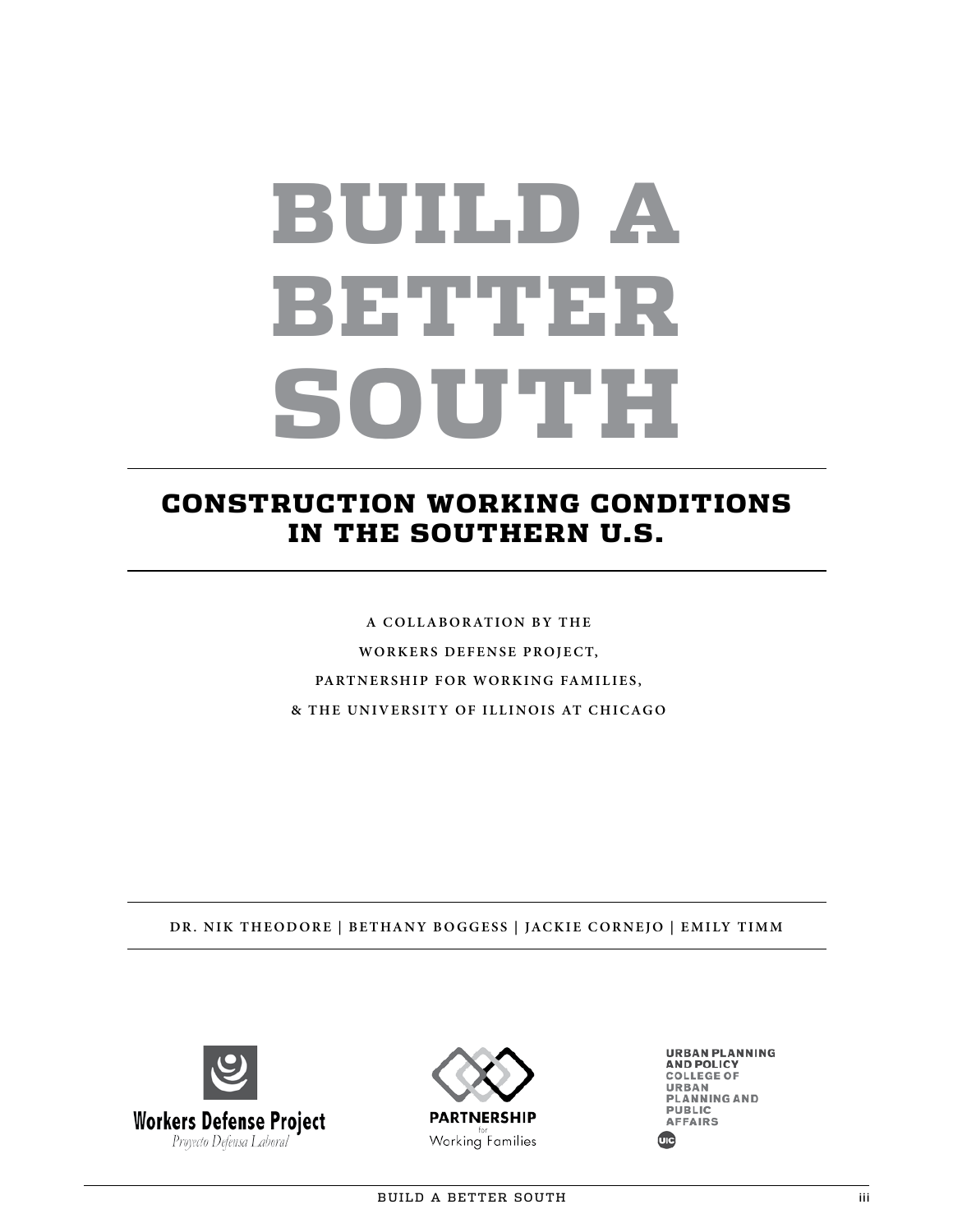# BUILD A BETTER SOUTH

### CONSTRUCTION WORKING CONDITIONS IN THE SOUTHERN U.S.

**A C O L L A B O R AT I O N B Y T H E WORKERS DEFENSE PROJECT,** PARTNERSHIP FOR WORKING FAMILIES, **& THE UNIVERSITY OF ILLINOIS AT CHICAGO**

**DR. NIK THEODORE | BETHANY BOGGESS | JACKIE CORNEJO | EMILY TIMM**





**URBAN PLANNING AND POLICY COLLEGE OF** URBAN PLANNING AND PUBLIC **AFFAIRS**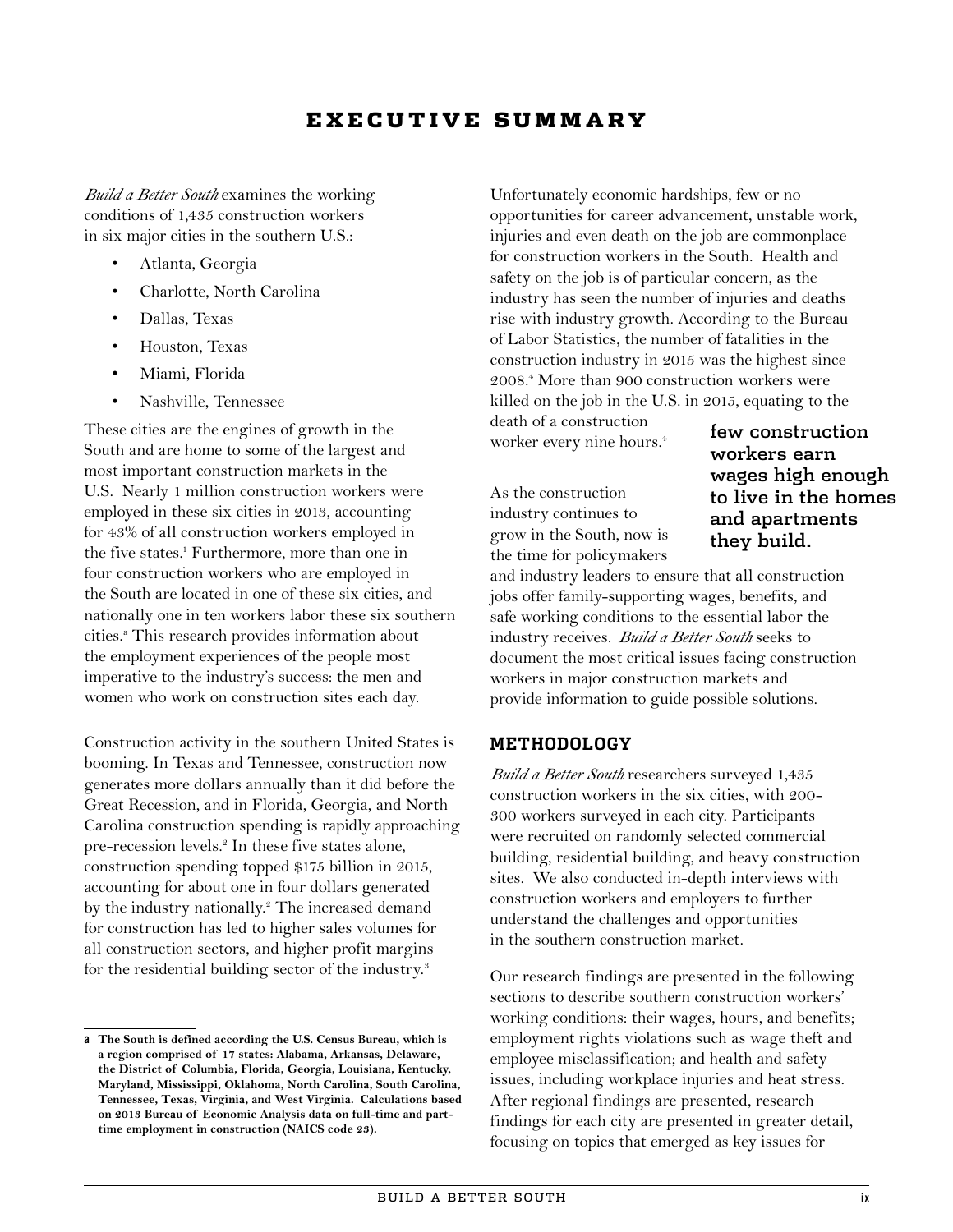### E X E C U T I V E S U M M A R Y

*Build a Better South* examines the working conditions of 1,435 construction workers in six major cities in the southern U.S.:

- Atlanta, Georgia
- Charlotte, North Carolina
- Dallas, Texas
- Houston, Texas
- Miami, Florida
- Nashville, Tennessee

These cities are the engines of growth in the South and are home to some of the largest and most important construction markets in the U.S. Nearly 1 million construction workers were employed in these six cities in 2013, accounting for 43% of all construction workers employed in the five states.<sup>1</sup> Furthermore, more than one in four construction workers who are employed in the South are located in one of these six cities, and nationally one in ten workers labor these six southern cities.<sup>a</sup> This research provides information about the employment experiences of the people most imperative to the industry's success: the men and women who work on construction sites each day.

Construction activity in the southern United States is booming. In Texas and Tennessee, construction now generates more dollars annually than it did before the Great Recession, and in Florida, Georgia, and North Carolina construction spending is rapidly approaching pre-recession levels.<sup>2</sup> In these five states alone, construction spending topped \$175 billion in 2015, accounting for about one in four dollars generated by the industry nationally.<sup>2</sup> The increased demand for construction has led to higher sales volumes for all construction sectors, and higher profit margins for the residential building sector of the industry.<sup>3</sup>

Unfortunately economic hardships, few or no opportunities for career advancement, unstable work, injuries and even death on the job are commonplace for construction workers in the South. Health and safety on the job is of particular concern, as the industry has seen the number of injuries and deaths rise with industry growth. According to the Bureau of Labor Statistics, the number of fatalities in the construction industry in 2015 was the highest since 2008.4 More than 900 construction workers were killed on the job in the U.S. in 2015, equating to the

death of a construction worker every nine hours.<sup>4</sup>

As the construction industry continues to grow in the South, now is the time for policymakers

few construction workers earn wages high enough to live in the homes and apartments they build.

and industry leaders to ensure that all construction jobs offer family-supporting wages, benefits, and safe working conditions to the essential labor the industry receives. *Build a Better South* seeks to document the most critical issues facing construction workers in major construction markets and provide information to guide possible solutions.

### **METHODOLOGY**

*Build a Better South* researchers surveyed 1,435 construction workers in the six cities, with 200- 300 workers surveyed in each city. Participants were recruited on randomly selected commercial building, residential building, and heavy construction sites. We also conducted in-depth interviews with construction workers and employers to further understand the challenges and opportunities in the southern construction market.

Our research findings are presented in the following sections to describe southern construction workers' working conditions: their wages, hours, and benefits; employment rights violations such as wage theft and employee misclassification; and health and safety issues, including workplace injuries and heat stress. After regional findings are presented, research findings for each city are presented in greater detail, focusing on topics that emerged as key issues for

**a The South is defined according the U.S. Census Bureau, which is a region comprised of 17 states: Alabama, Arkansas, Delaware, the District of Columbia, Florida, Georgia, Louisiana, Kentucky, Maryland, Mississippi, Oklahoma, North Carolina, South Carolina, Tennessee, Texas, Virginia, and West Virginia. Calculations based on 2013 Bureau of Economic Analysis data on full-time and parttime employment in construction (NAICS code 23).**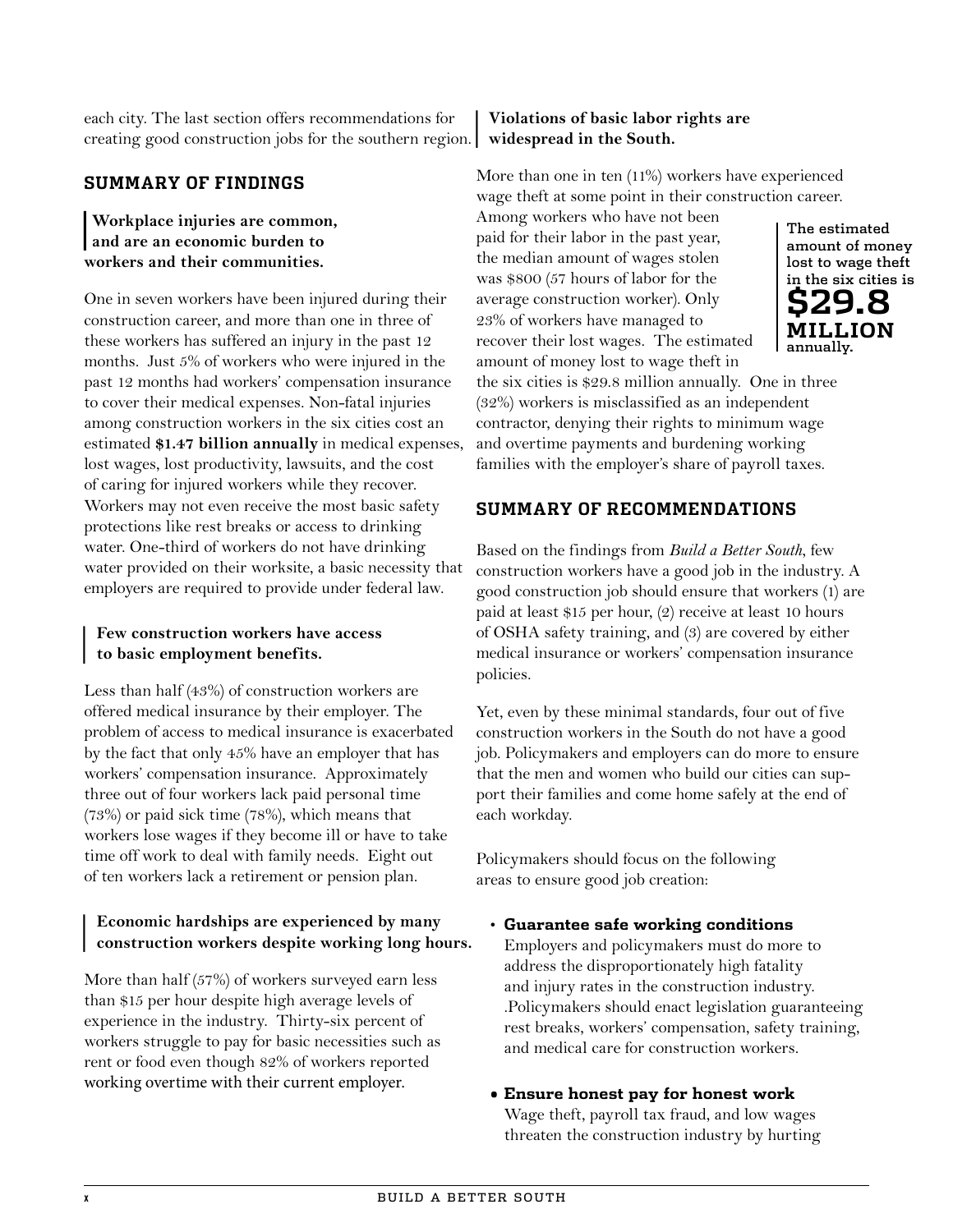each city. The last section offers recommendations for creating good construction jobs for the southern region.

### **SUMMARY OF FINDINGS**

### | **and are an economic burden to Workplace injuries are common, workers and their communities.**

One in seven workers have been injured during their construction career, and more than one in three of these workers has suffered an injury in the past 12 months. Just 5% of workers who were injured in the past 12 months had workers' compensation insurance to cover their medical expenses. Non-fatal injuries among construction workers in the six cities cost an estimated **\$1.47 billion annually** in medical expenses, lost wages, lost productivity, lawsuits, and the cost of caring for injured workers while they recover. Workers may not even receive the most basic safety protections like rest breaks or access to drinking water. One-third of workers do not have drinking water provided on their worksite, a basic necessity that employers are required to provide under federal law.

### |**Few construction workers have access to basic employment benefits.**

Less than half (43%) of construction workers are offered medical insurance by their employer. The problem of access to medical insurance is exacerbated by the fact that only 45% have an employer that has workers' compensation insurance. Approximately three out of four workers lack paid personal time (73%) or paid sick time (78%), which means that workers lose wages if they become ill or have to take time off work to deal with family needs. Eight out of ten workers lack a retirement or pension plan.

## |**Economic hardships are experienced by many construction workers despite working long hours.**

More than half (57%) of workers surveyed earn less than \$15 per hour despite high average levels of experience in the industry. Thirty-six percent of workers struggle to pay for basic necessities such as rent or food even though 82% of workers reported working overtime with their current employer.

### |**Violations of basic labor rights are widespread in the South.**

More than one in ten (11%) workers have experienced wage theft at some point in their construction career.

Among workers who have not been paid for their labor in the past year, the median amount of wages stolen was \$800 (57 hours of labor for the average construction worker). Only 23% of workers have managed to recover their lost wages. The estimated amount of money lost to wage theft in the six cities is \$29.8 million annually. One in three (32%) workers is misclassified as an independent contractor, denying their rights to minimum wage and overtime payments and burdening working families with the employer's share of payroll taxes.

### **SUMMARY OF RECOMMENDATIONS**

Based on the findings from *Build a Better South*, few construction workers have a good job in the industry. A good construction job should ensure that workers (1) are paid at least \$15 per hour, (2) receive at least 10 hours of OSHA safety training, and (3) are covered by either medical insurance or workers' compensation insurance policies.

Yet, even by these minimal standards, four out of five construction workers in the South do not have a good job. Policymakers and employers can do more to ensure that the men and women who build our cities can support their families and come home safely at the end of each workday.

Policymakers should focus on the following areas to ensure good job creation:

- **Guarantee safe working conditions** Employers and policymakers must do more to address the disproportionately high fatality and injury rates in the construction industry. .Policymakers should enact legislation guaranteeing rest breaks, workers' compensation, safety training, and medical care for construction workers.
- **Ensure honest pay for honest work** Wage theft, payroll tax fraud, and low wages threaten the construction industry by hurting